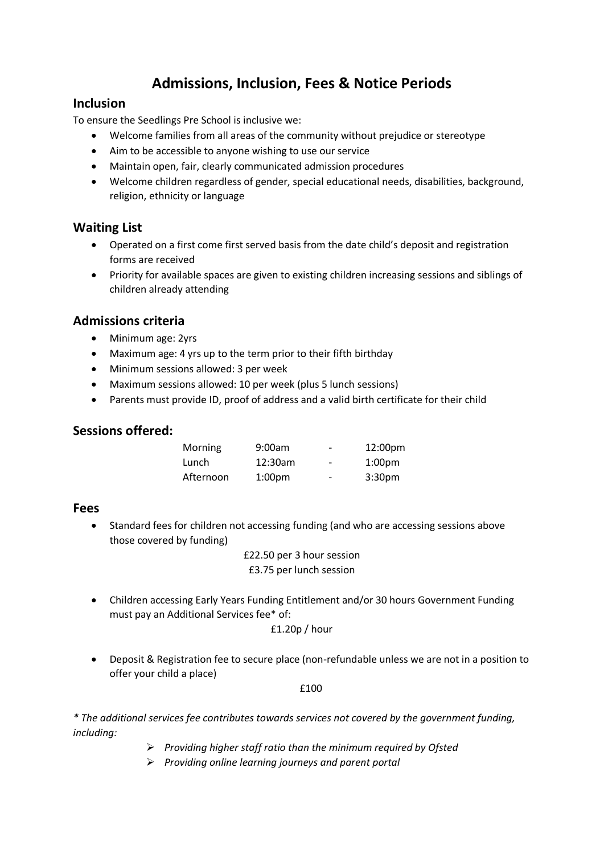# **Admissions, Inclusion, Fees & Notice Periods**

#### **Inclusion**

To ensure the Seedlings Pre School is inclusive we:

- Welcome families from all areas of the community without prejudice or stereotype
- Aim to be accessible to anyone wishing to use our service
- Maintain open, fair, clearly communicated admission procedures
- Welcome children regardless of gender, special educational needs, disabilities, background, religion, ethnicity or language

# **Waiting List**

- Operated on a first come first served basis from the date child's deposit and registration forms are received
- Priority for available spaces are given to existing children increasing sessions and siblings of children already attending

# **Admissions criteria**

- Minimum age: 2yrs
- Maximum age: 4 yrs up to the term prior to their fifth birthday
- Minimum sessions allowed: 3 per week
- Maximum sessions allowed: 10 per week (plus 5 lunch sessions)
- Parents must provide ID, proof of address and a valid birth certificate for their child

#### **Sessions offered:**

| <b>Morning</b> | 9:00am             | -                        | 12:00 <sub>pm</sub> |
|----------------|--------------------|--------------------------|---------------------|
| Lunch          | 12:30am            | $\overline{\phantom{a}}$ | 1:00 <sub>pm</sub>  |
| Afternoon      | 1:00 <sub>pm</sub> | $\overline{\phantom{0}}$ | 3:30 <sub>pm</sub>  |

#### **Fees**

• Standard fees for children not accessing funding (and who are accessing sessions above those covered by funding)

> £22.50 per 3 hour session £3.75 per lunch session

• Children accessing Early Years Funding Entitlement and/or 30 hours Government Funding must pay an Additional Services fee\* of:

£1.20p / hour

• Deposit & Registration fee to secure place (non-refundable unless we are not in a position to offer your child a place)

£100

*\* The additional services fee contributes towards services not covered by the government funding, including:*

- ➢ *Providing higher staff ratio than the minimum required by Ofsted*
- ➢ *Providing online learning journeys and parent portal*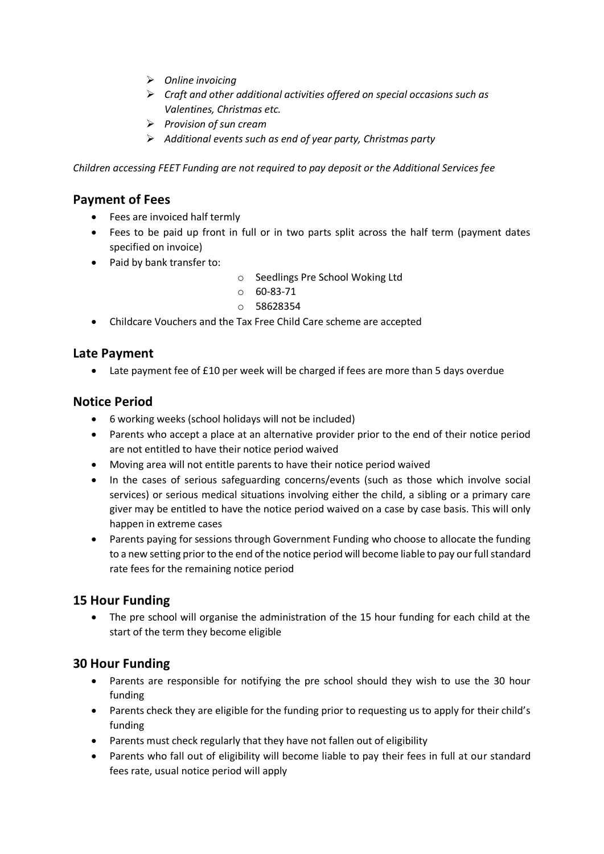- ➢ *Online invoicing*
- ➢ *Craft and other additional activities offered on special occasions such as Valentines, Christmas etc.*
- ➢ *Provision of sun cream*
- ➢ *Additional events such as end of year party, Christmas party*

*Children accessing FEET Funding are not required to pay deposit or the Additional Services fee*

#### **Payment of Fees**

- Fees are invoiced half termly
- Fees to be paid up front in full or in two parts split across the half term (payment dates specified on invoice)
- Paid by bank transfer to:
- o Seedlings Pre School Woking Ltd
- $0.60 83 71$
- o 58628354
- Childcare Vouchers and the Tax Free Child Care scheme are accepted

#### **Late Payment**

• Late payment fee of £10 per week will be charged if fees are more than 5 days overdue

#### **Notice Period**

- 6 working weeks (school holidays will not be included)
- Parents who accept a place at an alternative provider prior to the end of their notice period are not entitled to have their notice period waived
- Moving area will not entitle parents to have their notice period waived
- In the cases of serious safeguarding concerns/events (such as those which involve social services) or serious medical situations involving either the child, a sibling or a primary care giver may be entitled to have the notice period waived on a case by case basis. This will only happen in extreme cases
- Parents paying for sessions through Government Funding who choose to allocate the funding to a new setting prior to the end of the notice period will become liable to pay our full standard rate fees for the remaining notice period

# **15 Hour Funding**

The pre school will organise the administration of the 15 hour funding for each child at the start of the term they become eligible

# **30 Hour Funding**

- Parents are responsible for notifying the pre school should they wish to use the 30 hour funding
- Parents check they are eligible for the funding prior to requesting us to apply for their child's funding
- Parents must check regularly that they have not fallen out of eligibility
- Parents who fall out of eligibility will become liable to pay their fees in full at our standard fees rate, usual notice period will apply